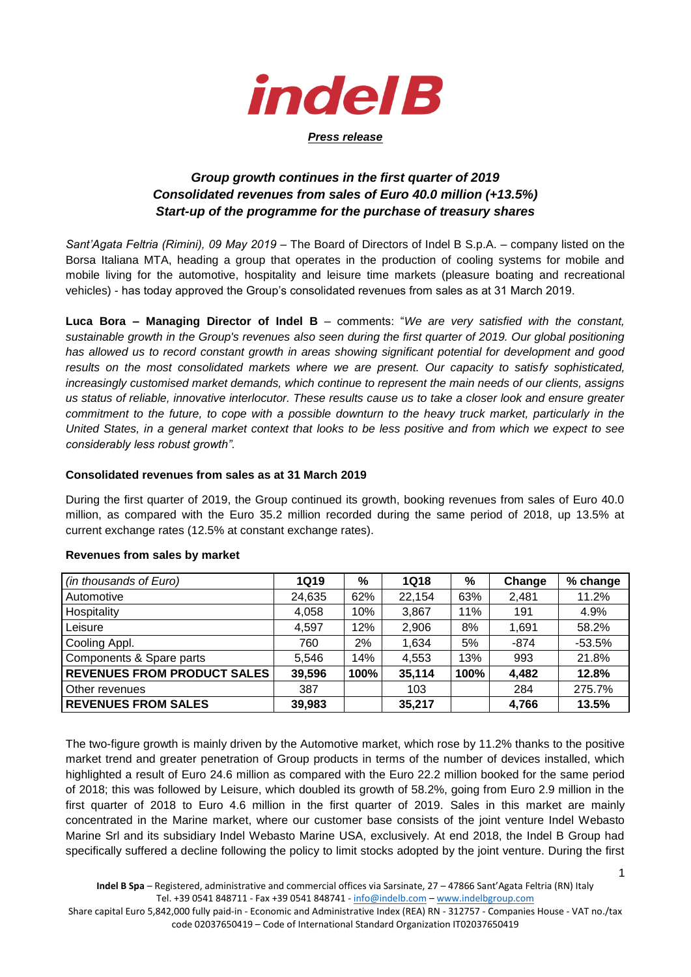

### *Press release*

# *Group growth continues in the first quarter of 2019 Consolidated revenues from sales of Euro 40.0 million (+13.5%) Start-up of the programme for the purchase of treasury shares*

*Sant'Agata Feltria (Rimini), 09 May 2019* – The Board of Directors of Indel B S.p.A. – company listed on the Borsa Italiana MTA, heading a group that operates in the production of cooling systems for mobile and mobile living for the automotive, hospitality and leisure time markets (pleasure boating and recreational vehicles) - has today approved the Group's consolidated revenues from sales as at 31 March 2019.

**Luca Bora – Managing Director of Indel B** – comments: "*We are very satisfied with the constant, sustainable growth in the Group's revenues also seen during the first quarter of 2019. Our global positioning has allowed us to record constant growth in areas showing significant potential for development and good results on the most consolidated markets where we are present. Our capacity to satisfy sophisticated, increasingly customised market demands, which continue to represent the main needs of our clients, assigns us status of reliable, innovative interlocutor. These results cause us to take a closer look and ensure greater commitment to the future, to cope with a possible downturn to the heavy truck market, particularly in the United States, in a general market context that looks to be less positive and from which we expect to see considerably less robust growth".*

### **Consolidated revenues from sales as at 31 March 2019**

During the first quarter of 2019, the Group continued its growth, booking revenues from sales of Euro 40.0 million, as compared with the Euro 35.2 million recorded during the same period of 2018, up 13.5% at current exchange rates (12.5% at constant exchange rates).

| (in thousands of Euro)             | <b>1Q19</b> | $\%$ | <b>1Q18</b> | %    | Change | % change |
|------------------------------------|-------------|------|-------------|------|--------|----------|
| Automotive                         | 24,635      | 62%  | 22,154      | 63%  | 2,481  | 11.2%    |
| Hospitality                        | 4,058       | 10%  | 3,867       | 11%  | 191    | 4.9%     |
| Leisure                            | 4.597       | 12%  | 2,906       | 8%   | 1,691  | 58.2%    |
| Cooling Appl.                      | 760         | 2%   | 1,634       | 5%   | -874   | $-53.5%$ |
| Components & Spare parts           | 5,546       | 14%  | 4,553       | 13%  | 993    | 21.8%    |
| <b>REVENUES FROM PRODUCT SALES</b> | 39,596      | 100% | 35,114      | 100% | 4,482  | 12.8%    |
| Other revenues                     | 387         |      | 103         |      | 284    | 275.7%   |
| <b>REVENUES FROM SALES</b>         | 39,983      |      | 35,217      |      | 4,766  | 13.5%    |

#### **Revenues from sales by market**

The two-figure growth is mainly driven by the Automotive market, which rose by 11.2% thanks to the positive market trend and greater penetration of Group products in terms of the number of devices installed, which highlighted a result of Euro 24.6 million as compared with the Euro 22.2 million booked for the same period of 2018; this was followed by Leisure, which doubled its growth of 58.2%, going from Euro 2.9 million in the first quarter of 2018 to Euro 4.6 million in the first quarter of 2019. Sales in this market are mainly concentrated in the Marine market, where our customer base consists of the joint venture Indel Webasto Marine Srl and its subsidiary Indel Webasto Marine USA, exclusively. At end 2018, the Indel B Group had specifically suffered a decline following the policy to limit stocks adopted by the joint venture. During the first

1

Share capital Euro 5,842,000 fully paid-in - Economic and Administrative Index (REA) RN - 312757 - Companies House - VAT no./tax code 02037650419 – Code of International Standard Organization IT02037650419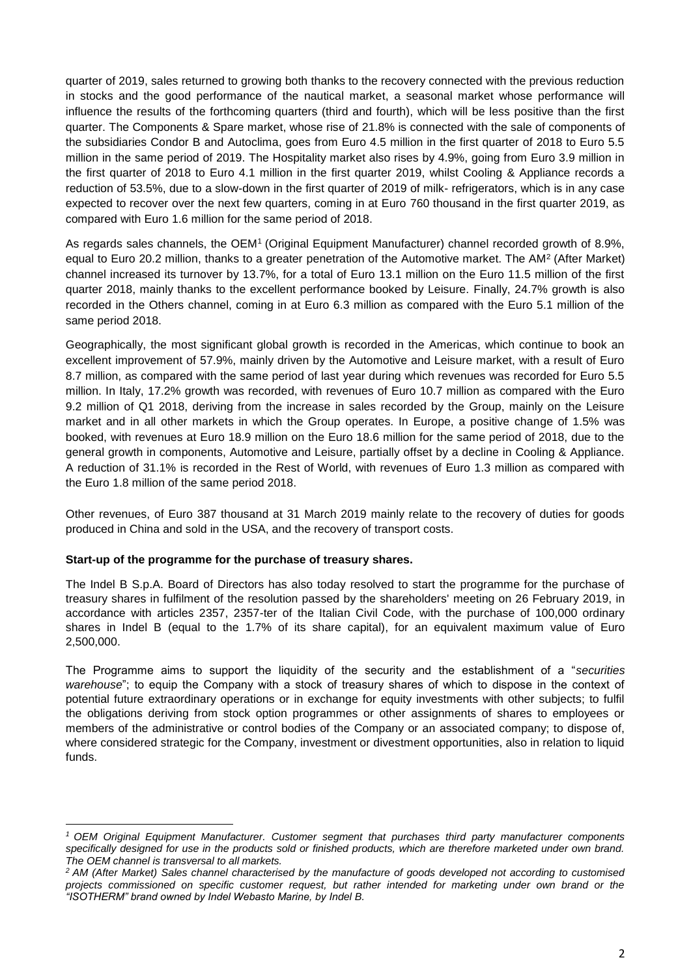quarter of 2019, sales returned to growing both thanks to the recovery connected with the previous reduction in stocks and the good performance of the nautical market, a seasonal market whose performance will influence the results of the forthcoming quarters (third and fourth), which will be less positive than the first quarter. The Components & Spare market, whose rise of 21.8% is connected with the sale of components of the subsidiaries Condor B and Autoclima, goes from Euro 4.5 million in the first quarter of 2018 to Euro 5.5 million in the same period of 2019. The Hospitality market also rises by 4.9%, going from Euro 3.9 million in the first quarter of 2018 to Euro 4.1 million in the first quarter 2019, whilst Cooling & Appliance records a reduction of 53.5%, due to a slow-down in the first quarter of 2019 of milk- refrigerators, which is in any case expected to recover over the next few quarters, coming in at Euro 760 thousand in the first quarter 2019, as compared with Euro 1.6 million for the same period of 2018.

As regards sales channels, the OEM<sup>1</sup> (Original Equipment Manufacturer) channel recorded growth of 8.9%, equal to Euro 20.2 million, thanks to a greater penetration of the Automotive market. The AM<sup>2</sup> (After Market) channel increased its turnover by 13.7%, for a total of Euro 13.1 million on the Euro 11.5 million of the first quarter 2018, mainly thanks to the excellent performance booked by Leisure. Finally, 24.7% growth is also recorded in the Others channel, coming in at Euro 6.3 million as compared with the Euro 5.1 million of the same period 2018.

Geographically, the most significant global growth is recorded in the Americas, which continue to book an excellent improvement of 57.9%, mainly driven by the Automotive and Leisure market, with a result of Euro 8.7 million, as compared with the same period of last year during which revenues was recorded for Euro 5.5 million. In Italy, 17.2% growth was recorded, with revenues of Euro 10.7 million as compared with the Euro 9.2 million of Q1 2018, deriving from the increase in sales recorded by the Group, mainly on the Leisure market and in all other markets in which the Group operates. In Europe, a positive change of 1.5% was booked, with revenues at Euro 18.9 million on the Euro 18.6 million for the same period of 2018, due to the general growth in components, Automotive and Leisure, partially offset by a decline in Cooling & Appliance. A reduction of 31.1% is recorded in the Rest of World, with revenues of Euro 1.3 million as compared with the Euro 1.8 million of the same period 2018.

Other revenues, of Euro 387 thousand at 31 March 2019 mainly relate to the recovery of duties for goods produced in China and sold in the USA, and the recovery of transport costs.

## **Start-up of the programme for the purchase of treasury shares.**

**.** 

The Indel B S.p.A. Board of Directors has also today resolved to start the programme for the purchase of treasury shares in fulfilment of the resolution passed by the shareholders' meeting on 26 February 2019, in accordance with articles 2357, 2357-ter of the Italian Civil Code, with the purchase of 100,000 ordinary shares in Indel B (equal to the 1.7% of its share capital), for an equivalent maximum value of Euro 2,500,000.

The Programme aims to support the liquidity of the security and the establishment of a "*securities warehouse*"; to equip the Company with a stock of treasury shares of which to dispose in the context of potential future extraordinary operations or in exchange for equity investments with other subjects; to fulfil the obligations deriving from stock option programmes or other assignments of shares to employees or members of the administrative or control bodies of the Company or an associated company; to dispose of, where considered strategic for the Company, investment or divestment opportunities, also in relation to liquid funds.

*<sup>1</sup> OEM Original Equipment Manufacturer. Customer segment that purchases third party manufacturer components specifically designed for use in the products sold or finished products, which are therefore marketed under own brand. The OEM channel is transversal to all markets.* 

*<sup>2</sup> AM (After Market) Sales channel characterised by the manufacture of goods developed not according to customised projects commissioned on specific customer request, but rather intended for marketing under own brand or the "ISOTHERM" brand owned by Indel Webasto Marine, by Indel B.*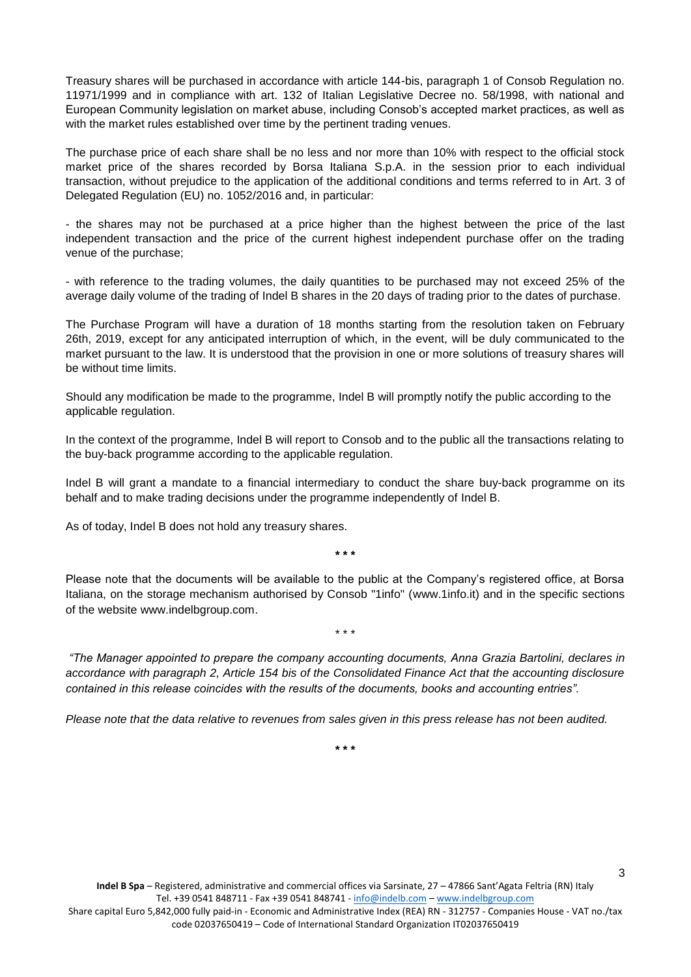Treasury shares will be purchased in accordance with article 144-bis, paragraph 1 of Consob Regulation no. 11971/1999 and in compliance with art. 132 of Italian Legislative Decree no. 58/1998, with national and European Community legislation on market abuse, including Consob's accepted market practices, as well as with the market rules established over time by the pertinent trading venues.

The purchase price of each share shall be no less and nor more than 10% with respect to the official stock market price of the shares recorded by Borsa Italiana S.p.A. in the session prior to each individual transaction, without prejudice to the application of the additional conditions and terms referred to in Art. 3 of Delegated Regulation (EU) no. 1052/2016 and, in particular:

- the shares may not be purchased at a price higher than the highest between the price of the last independent transaction and the price of the current highest independent purchase offer on the trading venue of the purchase;

- with reference to the trading volumes, the daily quantities to be purchased may not exceed 25% of the average daily volume of the trading of Indel B shares in the 20 days of trading prior to the dates of purchase.

The Purchase Program will have a duration of 18 months starting from the resolution taken on February 26th, 2019, except for any anticipated interruption of which, in the event, will be duly communicated to the market pursuant to the law. It is understood that the provision in one or more solutions of treasury shares will be without time limits.

Should any modification be made to the programme, Indel B will promptly notify the public according to the applicable regulation.

In the context of the programme, Indel B will report to Consob and to the public all the transactions relating to the buy-back programme according to the applicable regulation.

Indel B will grant a mandate to a financial intermediary to conduct the share buy-back programme on its behalf and to make trading decisions under the programme independently of Indel B.

As of today, Indel B does not hold any treasury shares.

**\* \* \***

Please note that the documents will be available to the public at the Company's registered office, at Borsa Italiana, on the storage mechanism authorised by Consob "1info" [\(www.1info.it\)](http://www.1info.it/) and in the specific sections of the website [www.indelbgroup.com.](file:///C:/Users/dvagcon/AppData/Local/Microsoft/Windows/INetCache/Content.Outlook/AppData/Local/Microsoft/Windows/INetCache/Content.Outlook/Dropbox/Polytems/DOCUMENTI%20BIANCA/CLIENTI%20ATTIVI/INDEL%20B/COMUNICATI%20STAMPA/2018/1Q%202018/COMUNICATI%20DIFFUSI/www.indelbgroup.com)

\* \* \*

*"The Manager appointed to prepare the company accounting documents, Anna Grazia Bartolini, declares in accordance with paragraph 2, Article 154 bis of the Consolidated Finance Act that the accounting disclosure contained in this release coincides with the results of the documents, books and accounting entries".*

*Please note that the data relative to revenues from sales given in this press release has not been audited.* 

**\* \* \***